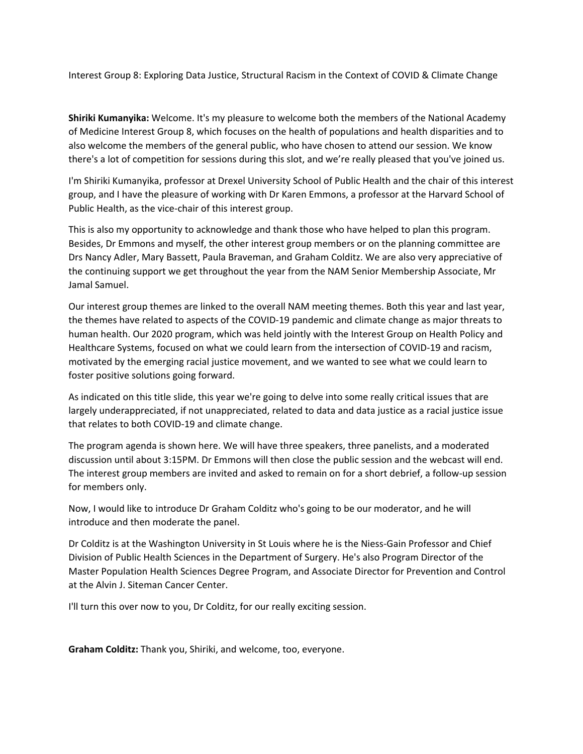Interest Group 8: Exploring Data Justice, Structural Racism in the Context of COVID & Climate Change

**Shiriki Kumanyika:** Welcome. It's my pleasure to welcome both the members of the National Academy of Medicine Interest Group 8, which focuses on the health of populations and health disparities and to also welcome the members of the general public, who have chosen to attend our session. We know there's a lot of competition for sessions during this slot, and we're really pleased that you've joined us.

I'm Shiriki Kumanyika, professor at Drexel University School of Public Health and the chair of this interest group, and I have the pleasure of working with Dr Karen Emmons, a professor at the Harvard School of Public Health, as the vice‐chair of this interest group.

This is also my opportunity to acknowledge and thank those who have helped to plan this program. Besides, Dr Emmons and myself, the other interest group members or on the planning committee are Drs Nancy Adler, Mary Bassett, Paula Braveman, and Graham Colditz. We are also very appreciative of the continuing support we get throughout the year from the NAM Senior Membership Associate, Mr Jamal Samuel.

Our interest group themes are linked to the overall NAM meeting themes. Both this year and last year, the themes have related to aspects of the COVID‐19 pandemic and climate change as major threats to human health. Our 2020 program, which was held jointly with the Interest Group on Health Policy and Healthcare Systems, focused on what we could learn from the intersection of COVID‐19 and racism, motivated by the emerging racial justice movement, and we wanted to see what we could learn to foster positive solutions going forward.

As indicated on this title slide, this year we're going to delve into some really critical issues that are largely underappreciated, if not unappreciated, related to data and data justice as a racial justice issue that relates to both COVID‐19 and climate change.

The program agenda is shown here. We will have three speakers, three panelists, and a moderated discussion until about 3:15PM. Dr Emmons will then close the public session and the webcast will end. The interest group members are invited and asked to remain on for a short debrief, a follow‐up session for members only.

Now, I would like to introduce Dr Graham Colditz who's going to be our moderator, and he will introduce and then moderate the panel.

Dr Colditz is at the Washington University in St Louis where he is the Niess‐Gain Professor and Chief Division of Public Health Sciences in the Department of Surgery. He's also Program Director of the Master Population Health Sciences Degree Program, and Associate Director for Prevention and Control at the Alvin J. Siteman Cancer Center.

I'll turn this over now to you, Dr Colditz, for our really exciting session.

**Graham Colditz:** Thank you, Shiriki, and welcome, too, everyone.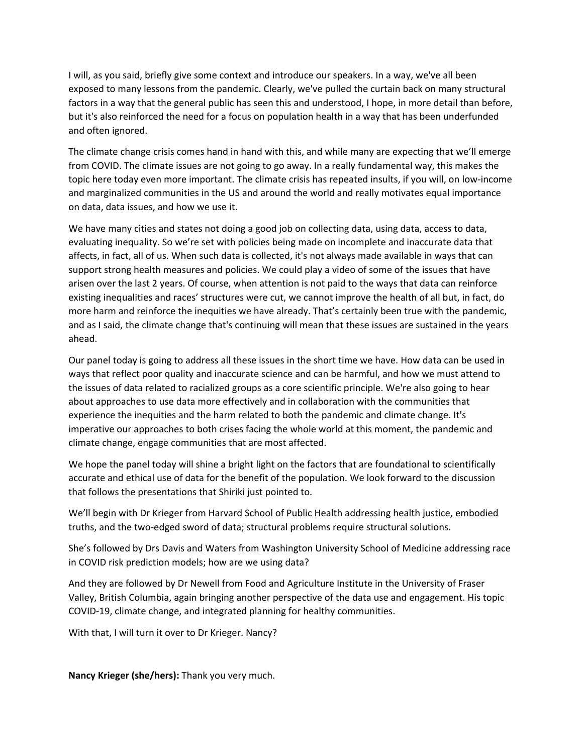I will, as you said, briefly give some context and introduce our speakers. In a way, we've all been exposed to many lessons from the pandemic. Clearly, we've pulled the curtain back on many structural factors in a way that the general public has seen this and understood, I hope, in more detail than before, but it's also reinforced the need for a focus on population health in a way that has been underfunded and often ignored.

The climate change crisis comes hand in hand with this, and while many are expecting that we'll emerge from COVID. The climate issues are not going to go away. In a really fundamental way, this makes the topic here today even more important. The climate crisis has repeated insults, if you will, on low‐income and marginalized communities in the US and around the world and really motivates equal importance on data, data issues, and how we use it.

We have many cities and states not doing a good job on collecting data, using data, access to data, evaluating inequality. So we're set with policies being made on incomplete and inaccurate data that affects, in fact, all of us. When such data is collected, it's not always made available in ways that can support strong health measures and policies. We could play a video of some of the issues that have arisen over the last 2 years. Of course, when attention is not paid to the ways that data can reinforce existing inequalities and races' structures were cut, we cannot improve the health of all but, in fact, do more harm and reinforce the inequities we have already. That's certainly been true with the pandemic, and as I said, the climate change that's continuing will mean that these issues are sustained in the years ahead.

Our panel today is going to address all these issues in the short time we have. How data can be used in ways that reflect poor quality and inaccurate science and can be harmful, and how we must attend to the issues of data related to racialized groups as a core scientific principle. We're also going to hear about approaches to use data more effectively and in collaboration with the communities that experience the inequities and the harm related to both the pandemic and climate change. It's imperative our approaches to both crises facing the whole world at this moment, the pandemic and climate change, engage communities that are most affected.

We hope the panel today will shine a bright light on the factors that are foundational to scientifically accurate and ethical use of data for the benefit of the population. We look forward to the discussion that follows the presentations that Shiriki just pointed to.

We'll begin with Dr Krieger from Harvard School of Public Health addressing health justice, embodied truths, and the two‐edged sword of data; structural problems require structural solutions.

She's followed by Drs Davis and Waters from Washington University School of Medicine addressing race in COVID risk prediction models; how are we using data?

And they are followed by Dr Newell from Food and Agriculture Institute in the University of Fraser Valley, British Columbia, again bringing another perspective of the data use and engagement. His topic COVID‐19, climate change, and integrated planning for healthy communities.

With that, I will turn it over to Dr Krieger. Nancy?

**Nancy Krieger (she/hers):** Thank you very much.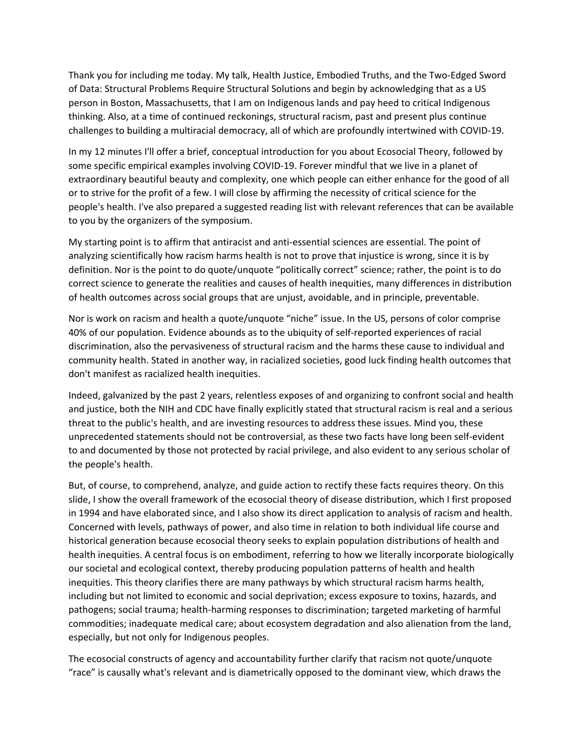Thank you for including me today. My talk, Health Justice, Embodied Truths, and the Two‐Edged Sword of Data: Structural Problems Require Structural Solutions and begin by acknowledging that as a US person in Boston, Massachusetts, that I am on Indigenous lands and pay heed to critical Indigenous thinking. Also, at a time of continued reckonings, structural racism, past and present plus continue challenges to building a multiracial democracy, all of which are profoundly intertwined with COVID‐19.

In my 12 minutes I'll offer a brief, conceptual introduction for you about Ecosocial Theory, followed by some specific empirical examples involving COVID‐19. Forever mindful that we live in a planet of extraordinary beautiful beauty and complexity, one which people can either enhance for the good of all or to strive for the profit of a few. I will close by affirming the necessity of critical science for the people's health. I've also prepared a suggested reading list with relevant references that can be available to you by the organizers of the symposium.

My starting point is to affirm that antiracist and anti‐essential sciences are essential. The point of analyzing scientifically how racism harms health is not to prove that injustice is wrong, since it is by definition. Nor is the point to do quote/unquote "politically correct" science; rather, the point is to do correct science to generate the realities and causes of health inequities, many differences in distribution of health outcomes across social groups that are unjust, avoidable, and in principle, preventable.

Nor is work on racism and health a quote/unquote "niche" issue. In the US, persons of color comprise 40% of our population. Evidence abounds as to the ubiquity of self‐reported experiences of racial discrimination, also the pervasiveness of structural racism and the harms these cause to individual and community health. Stated in another way, in racialized societies, good luck finding health outcomes that don't manifest as racialized health inequities.

Indeed, galvanized by the past 2 years, relentless exposes of and organizing to confront social and health and justice, both the NIH and CDC have finally explicitly stated that structural racism is real and a serious threat to the public's health, and are investing resources to address these issues. Mind you, these unprecedented statements should not be controversial, as these two facts have long been self‐evident to and documented by those not protected by racial privilege, and also evident to any serious scholar of the people's health.

But, of course, to comprehend, analyze, and guide action to rectify these facts requires theory. On this slide, I show the overall framework of the ecosocial theory of disease distribution, which I first proposed in 1994 and have elaborated since, and I also show its direct application to analysis of racism and health. Concerned with levels, pathways of power, and also time in relation to both individual life course and historical generation because ecosocial theory seeks to explain population distributions of health and health inequities. A central focus is on embodiment, referring to how we literally incorporate biologically our societal and ecological context, thereby producing population patterns of health and health inequities. This theory clarifies there are many pathways by which structural racism harms health, including but not limited to economic and social deprivation; excess exposure to toxins, hazards, and pathogens; social trauma; health‐harming responses to discrimination; targeted marketing of harmful commodities; inadequate medical care; about ecosystem degradation and also alienation from the land, especially, but not only for Indigenous peoples.

The ecosocial constructs of agency and accountability further clarify that racism not quote/unquote "race" is causally what's relevant and is diametrically opposed to the dominant view, which draws the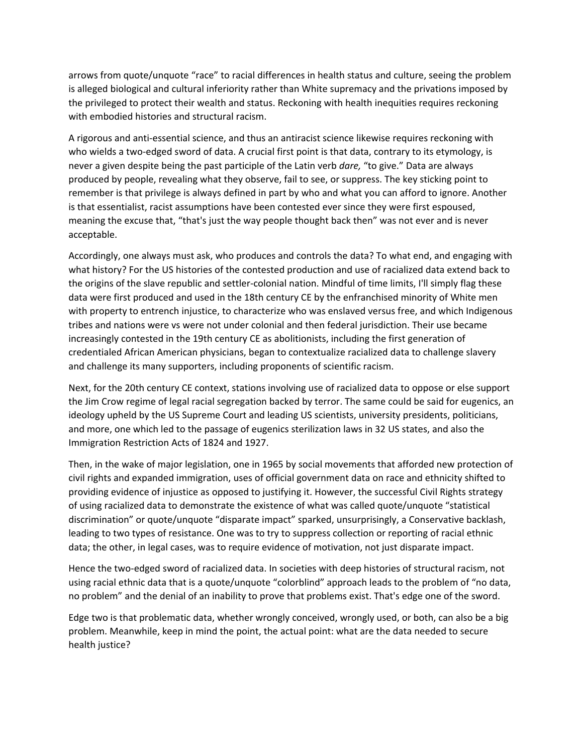arrows from quote/unquote "race" to racial differences in health status and culture, seeing the problem is alleged biological and cultural inferiority rather than White supremacy and the privations imposed by the privileged to protect their wealth and status. Reckoning with health inequities requires reckoning with embodied histories and structural racism.

A rigorous and anti‐essential science, and thus an antiracist science likewise requires reckoning with who wields a two-edged sword of data. A crucial first point is that data, contrary to its etymology, is never a given despite being the past participle of the Latin verb *dare,* "to give." Data are always produced by people, revealing what they observe, fail to see, or suppress. The key sticking point to remember is that privilege is always defined in part by who and what you can afford to ignore. Another is that essentialist, racist assumptions have been contested ever since they were first espoused, meaning the excuse that, "that's just the way people thought back then" was not ever and is never acceptable.

Accordingly, one always must ask, who produces and controls the data? To what end, and engaging with what history? For the US histories of the contested production and use of racialized data extend back to the origins of the slave republic and settler‐colonial nation. Mindful of time limits, I'll simply flag these data were first produced and used in the 18th century CE by the enfranchised minority of White men with property to entrench injustice, to characterize who was enslaved versus free, and which Indigenous tribes and nations were vs were not under colonial and then federal jurisdiction. Their use became increasingly contested in the 19th century CE as abolitionists, including the first generation of credentialed African American physicians, began to contextualize racialized data to challenge slavery and challenge its many supporters, including proponents of scientific racism.

Next, for the 20th century CE context, stations involving use of racialized data to oppose or else support the Jim Crow regime of legal racial segregation backed by terror. The same could be said for eugenics, an ideology upheld by the US Supreme Court and leading US scientists, university presidents, politicians, and more, one which led to the passage of eugenics sterilization laws in 32 US states, and also the Immigration Restriction Acts of 1824 and 1927.

Then, in the wake of major legislation, one in 1965 by social movements that afforded new protection of civil rights and expanded immigration, uses of official government data on race and ethnicity shifted to providing evidence of injustice as opposed to justifying it. However, the successful Civil Rights strategy of using racialized data to demonstrate the existence of what was called quote/unquote "statistical discrimination" or quote/unquote "disparate impact" sparked, unsurprisingly, a Conservative backlash, leading to two types of resistance. One was to try to suppress collection or reporting of racial ethnic data; the other, in legal cases, was to require evidence of motivation, not just disparate impact.

Hence the two-edged sword of racialized data. In societies with deep histories of structural racism, not using racial ethnic data that is a quote/unquote "colorblind" approach leads to the problem of "no data, no problem" and the denial of an inability to prove that problems exist. That's edge one of the sword.

Edge two is that problematic data, whether wrongly conceived, wrongly used, or both, can also be a big problem. Meanwhile, keep in mind the point, the actual point: what are the data needed to secure health justice?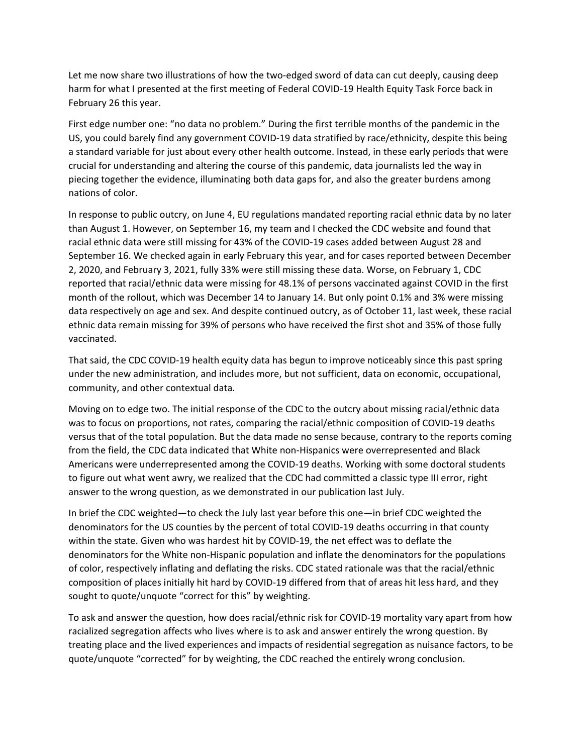Let me now share two illustrations of how the two-edged sword of data can cut deeply, causing deep harm for what I presented at the first meeting of Federal COVID-19 Health Equity Task Force back in February 26 this year.

First edge number one: "no data no problem." During the first terrible months of the pandemic in the US, you could barely find any government COVID‐19 data stratified by race/ethnicity, despite this being a standard variable for just about every other health outcome. Instead, in these early periods that were crucial for understanding and altering the course of this pandemic, data journalists led the way in piecing together the evidence, illuminating both data gaps for, and also the greater burdens among nations of color.

In response to public outcry, on June 4, EU regulations mandated reporting racial ethnic data by no later than August 1. However, on September 16, my team and I checked the CDC website and found that racial ethnic data were still missing for 43% of the COVID‐19 cases added between August 28 and September 16. We checked again in early February this year, and for cases reported between December 2, 2020, and February 3, 2021, fully 33% were still missing these data. Worse, on February 1, CDC reported that racial/ethnic data were missing for 48.1% of persons vaccinated against COVID in the first month of the rollout, which was December 14 to January 14. But only point 0.1% and 3% were missing data respectively on age and sex. And despite continued outcry, as of October 11, last week, these racial ethnic data remain missing for 39% of persons who have received the first shot and 35% of those fully vaccinated.

That said, the CDC COVID‐19 health equity data has begun to improve noticeably since this past spring under the new administration, and includes more, but not sufficient, data on economic, occupational, community, and other contextual data.

Moving on to edge two. The initial response of the CDC to the outcry about missing racial/ethnic data was to focus on proportions, not rates, comparing the racial/ethnic composition of COVID-19 deaths versus that of the total population. But the data made no sense because, contrary to the reports coming from the field, the CDC data indicated that White non-Hispanics were overrepresented and Black Americans were underrepresented among the COVID‐19 deaths. Working with some doctoral students to figure out what went awry, we realized that the CDC had committed a classic type III error, right answer to the wrong question, as we demonstrated in our publication last July.

In brief the CDC weighted—to check the July last year before this one—in brief CDC weighted the denominators for the US counties by the percent of total COVID‐19 deaths occurring in that county within the state. Given who was hardest hit by COVID-19, the net effect was to deflate the denominators for the White non‐Hispanic population and inflate the denominators for the populations of color, respectively inflating and deflating the risks. CDC stated rationale was that the racial/ethnic composition of places initially hit hard by COVID‐19 differed from that of areas hit less hard, and they sought to quote/unquote "correct for this" by weighting.

To ask and answer the question, how does racial/ethnic risk for COVID‐19 mortality vary apart from how racialized segregation affects who lives where is to ask and answer entirely the wrong question. By treating place and the lived experiences and impacts of residential segregation as nuisance factors, to be quote/unquote "corrected" for by weighting, the CDC reached the entirely wrong conclusion.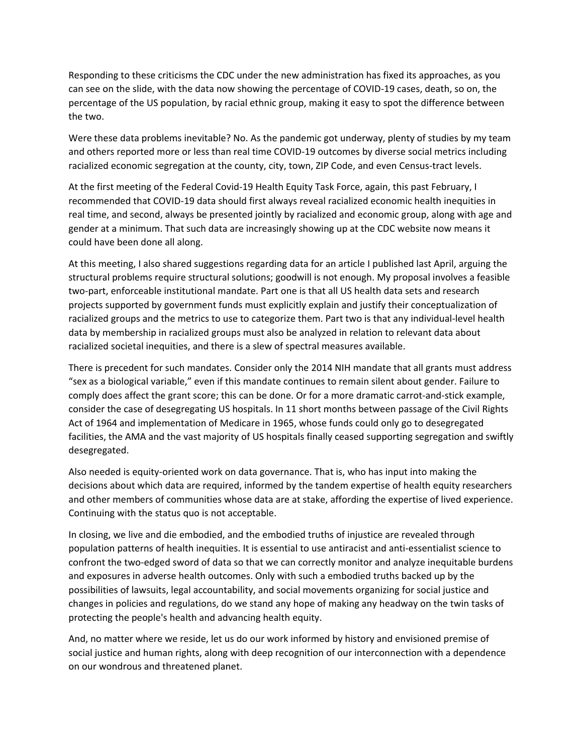Responding to these criticisms the CDC under the new administration has fixed its approaches, as you can see on the slide, with the data now showing the percentage of COVID-19 cases, death, so on, the percentage of the US population, by racial ethnic group, making it easy to spot the difference between the two.

Were these data problems inevitable? No. As the pandemic got underway, plenty of studies by my team and others reported more or less than real time COVID-19 outcomes by diverse social metrics including racialized economic segregation at the county, city, town, ZIP Code, and even Census-tract levels.

At the first meeting of the Federal Covid‐19 Health Equity Task Force, again, this past February, I recommended that COVID‐19 data should first always reveal racialized economic health inequities in real time, and second, always be presented jointly by racialized and economic group, along with age and gender at a minimum. That such data are increasingly showing up at the CDC website now means it could have been done all along.

At this meeting, I also shared suggestions regarding data for an article I published last April, arguing the structural problems require structural solutions; goodwill is not enough. My proposal involves a feasible two‐part, enforceable institutional mandate. Part one is that all US health data sets and research projects supported by government funds must explicitly explain and justify their conceptualization of racialized groups and the metrics to use to categorize them. Part two is that any individual-level health data by membership in racialized groups must also be analyzed in relation to relevant data about racialized societal inequities, and there is a slew of spectral measures available.

There is precedent for such mandates. Consider only the 2014 NIH mandate that all grants must address "sex as a biological variable," even if this mandate continues to remain silent about gender. Failure to comply does affect the grant score; this can be done. Or for a more dramatic carrot-and-stick example, consider the case of desegregating US hospitals. In 11 short months between passage of the Civil Rights Act of 1964 and implementation of Medicare in 1965, whose funds could only go to desegregated facilities, the AMA and the vast majority of US hospitals finally ceased supporting segregation and swiftly desegregated.

Also needed is equity‐oriented work on data governance. That is, who has input into making the decisions about which data are required, informed by the tandem expertise of health equity researchers and other members of communities whose data are at stake, affording the expertise of lived experience. Continuing with the status quo is not acceptable.

In closing, we live and die embodied, and the embodied truths of injustice are revealed through population patterns of health inequities. It is essential to use antiracist and anti‐essentialist science to confront the two‐edged sword of data so that we can correctly monitor and analyze inequitable burdens and exposures in adverse health outcomes. Only with such a embodied truths backed up by the possibilities of lawsuits, legal accountability, and social movements organizing for social justice and changes in policies and regulations, do we stand any hope of making any headway on the twin tasks of protecting the people's health and advancing health equity.

And, no matter where we reside, let us do our work informed by history and envisioned premise of social justice and human rights, along with deep recognition of our interconnection with a dependence on our wondrous and threatened planet.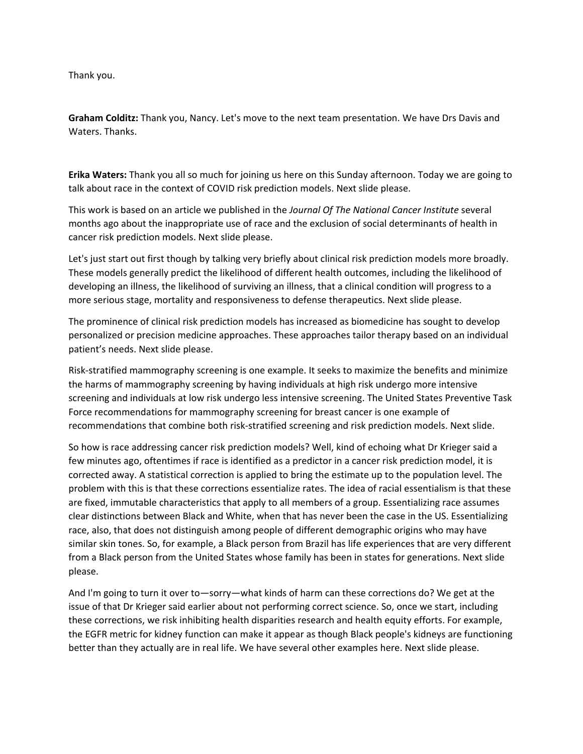Thank you.

**Graham Colditz:** Thank you, Nancy. Let's move to the next team presentation. We have Drs Davis and Waters. Thanks.

**Erika Waters:** Thank you all so much for joining us here on this Sunday afternoon. Today we are going to talk about race in the context of COVID risk prediction models. Next slide please.

This work is based on an article we published in the *Journal Of The National Cancer Institute* several months ago about the inappropriate use of race and the exclusion of social determinants of health in cancer risk prediction models. Next slide please.

Let's just start out first though by talking very briefly about clinical risk prediction models more broadly. These models generally predict the likelihood of different health outcomes, including the likelihood of developing an illness, the likelihood of surviving an illness, that a clinical condition will progress to a more serious stage, mortality and responsiveness to defense therapeutics. Next slide please.

The prominence of clinical risk prediction models has increased as biomedicine has sought to develop personalized or precision medicine approaches. These approaches tailor therapy based on an individual patient's needs. Next slide please.

Risk‐stratified mammography screening is one example. It seeks to maximize the benefits and minimize the harms of mammography screening by having individuals at high risk undergo more intensive screening and individuals at low risk undergo less intensive screening. The United States Preventive Task Force recommendations for mammography screening for breast cancer is one example of recommendations that combine both risk‐stratified screening and risk prediction models. Next slide.

So how is race addressing cancer risk prediction models? Well, kind of echoing what Dr Krieger said a few minutes ago, oftentimes if race is identified as a predictor in a cancer risk prediction model, it is corrected away. A statistical correction is applied to bring the estimate up to the population level. The problem with this is that these corrections essentialize rates. The idea of racial essentialism is that these are fixed, immutable characteristics that apply to all members of a group. Essentializing race assumes clear distinctions between Black and White, when that has never been the case in the US. Essentializing race, also, that does not distinguish among people of different demographic origins who may have similar skin tones. So, for example, a Black person from Brazil has life experiences that are very different from a Black person from the United States whose family has been in states for generations. Next slide please.

And I'm going to turn it over to—sorry—what kinds of harm can these corrections do? We get at the issue of that Dr Krieger said earlier about not performing correct science. So, once we start, including these corrections, we risk inhibiting health disparities research and health equity efforts. For example, the EGFR metric for kidney function can make it appear as though Black people's kidneys are functioning better than they actually are in real life. We have several other examples here. Next slide please.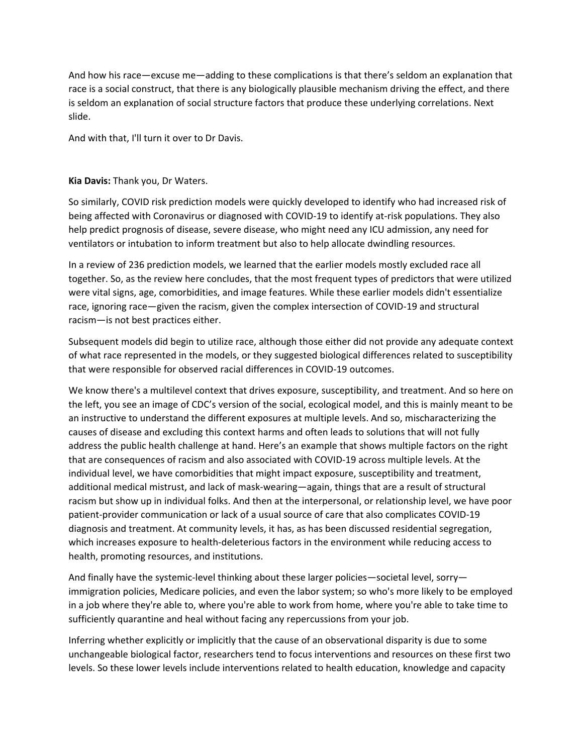And how his race—excuse me—adding to these complications is that there's seldom an explanation that race is a social construct, that there is any biologically plausible mechanism driving the effect, and there is seldom an explanation of social structure factors that produce these underlying correlations. Next slide.

And with that, I'll turn it over to Dr Davis.

## **Kia Davis:** Thank you, Dr Waters.

So similarly, COVID risk prediction models were quickly developed to identify who had increased risk of being affected with Coronavirus or diagnosed with COVID-19 to identify at-risk populations. They also help predict prognosis of disease, severe disease, who might need any ICU admission, any need for ventilators or intubation to inform treatment but also to help allocate dwindling resources.

In a review of 236 prediction models, we learned that the earlier models mostly excluded race all together. So, as the review here concludes, that the most frequent types of predictors that were utilized were vital signs, age, comorbidities, and image features. While these earlier models didn't essentialize race, ignoring race—given the racism, given the complex intersection of COVID‐19 and structural racism—is not best practices either.

Subsequent models did begin to utilize race, although those either did not provide any adequate context of what race represented in the models, or they suggested biological differences related to susceptibility that were responsible for observed racial differences in COVID‐19 outcomes.

We know there's a multilevel context that drives exposure, susceptibility, and treatment. And so here on the left, you see an image of CDC's version of the social, ecological model, and this is mainly meant to be an instructive to understand the different exposures at multiple levels. And so, mischaracterizing the causes of disease and excluding this context harms and often leads to solutions that will not fully address the public health challenge at hand. Here's an example that shows multiple factors on the right that are consequences of racism and also associated with COVID‐19 across multiple levels. At the individual level, we have comorbidities that might impact exposure, susceptibility and treatment, additional medical mistrust, and lack of mask‐wearing—again, things that are a result of structural racism but show up in individual folks. And then at the interpersonal, or relationship level, we have poor patient‐provider communication or lack of a usual source of care that also complicates COVID‐19 diagnosis and treatment. At community levels, it has, as has been discussed residential segregation, which increases exposure to health-deleterious factors in the environment while reducing access to health, promoting resources, and institutions.

And finally have the systemic-level thinking about these larger policies—societal level, sorry immigration policies, Medicare policies, and even the labor system; so who's more likely to be employed in a job where they're able to, where you're able to work from home, where you're able to take time to sufficiently quarantine and heal without facing any repercussions from your job.

Inferring whether explicitly or implicitly that the cause of an observational disparity is due to some unchangeable biological factor, researchers tend to focus interventions and resources on these first two levels. So these lower levels include interventions related to health education, knowledge and capacity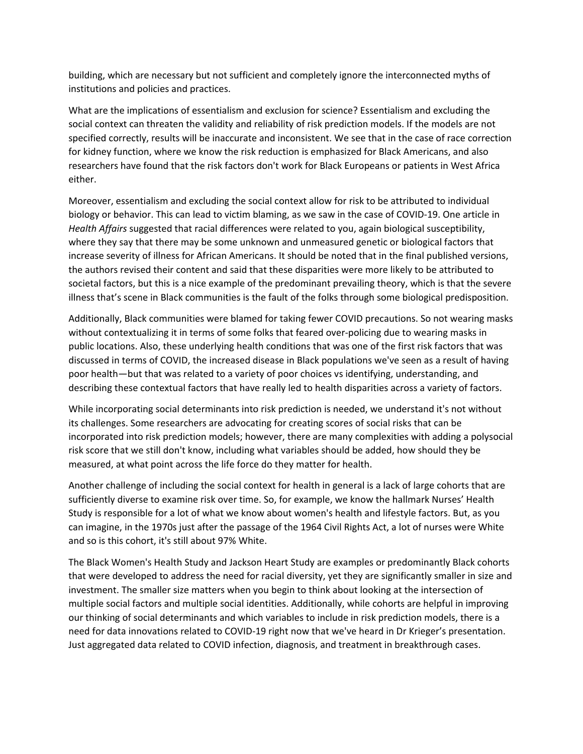building, which are necessary but not sufficient and completely ignore the interconnected myths of institutions and policies and practices.

What are the implications of essentialism and exclusion for science? Essentialism and excluding the social context can threaten the validity and reliability of risk prediction models. If the models are not specified correctly, results will be inaccurate and inconsistent. We see that in the case of race correction for kidney function, where we know the risk reduction is emphasized for Black Americans, and also researchers have found that the risk factors don't work for Black Europeans or patients in West Africa either.

Moreover, essentialism and excluding the social context allow for risk to be attributed to individual biology or behavior. This can lead to victim blaming, as we saw in the case of COVID‐19. One article in *Health Affairs* suggested that racial differences were related to you, again biological susceptibility, where they say that there may be some unknown and unmeasured genetic or biological factors that increase severity of illness for African Americans. It should be noted that in the final published versions, the authors revised their content and said that these disparities were more likely to be attributed to societal factors, but this is a nice example of the predominant prevailing theory, which is that the severe illness that's scene in Black communities is the fault of the folks through some biological predisposition.

Additionally, Black communities were blamed for taking fewer COVID precautions. So not wearing masks without contextualizing it in terms of some folks that feared over-policing due to wearing masks in public locations. Also, these underlying health conditions that was one of the first risk factors that was discussed in terms of COVID, the increased disease in Black populations we've seen as a result of having poor health—but that was related to a variety of poor choices vs identifying, understanding, and describing these contextual factors that have really led to health disparities across a variety of factors.

While incorporating social determinants into risk prediction is needed, we understand it's not without its challenges. Some researchers are advocating for creating scores of social risks that can be incorporated into risk prediction models; however, there are many complexities with adding a polysocial risk score that we still don't know, including what variables should be added, how should they be measured, at what point across the life force do they matter for health.

Another challenge of including the social context for health in general is a lack of large cohorts that are sufficiently diverse to examine risk over time. So, for example, we know the hallmark Nurses' Health Study is responsible for a lot of what we know about women's health and lifestyle factors. But, as you can imagine, in the 1970s just after the passage of the 1964 Civil Rights Act, a lot of nurses were White and so is this cohort, it's still about 97% White.

The Black Women's Health Study and Jackson Heart Study are examples or predominantly Black cohorts that were developed to address the need for racial diversity, yet they are significantly smaller in size and investment. The smaller size matters when you begin to think about looking at the intersection of multiple social factors and multiple social identities. Additionally, while cohorts are helpful in improving our thinking of social determinants and which variables to include in risk prediction models, there is a need for data innovations related to COVID‐19 right now that we've heard in Dr Krieger's presentation. Just aggregated data related to COVID infection, diagnosis, and treatment in breakthrough cases.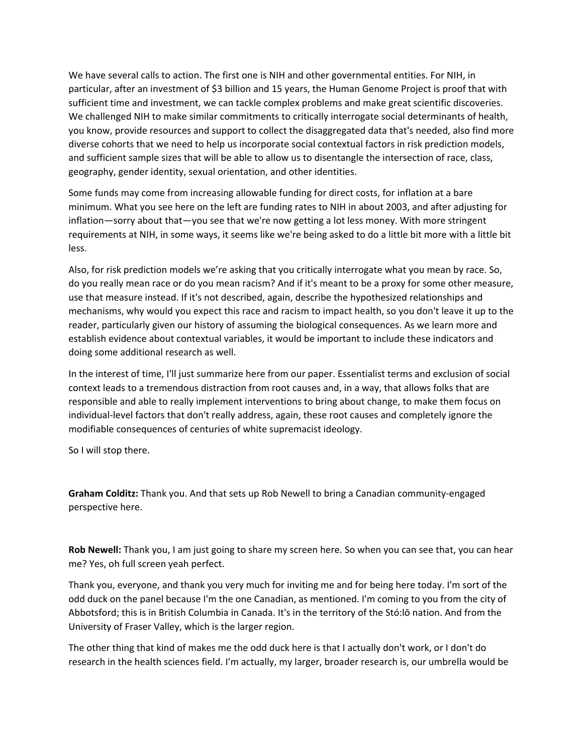We have several calls to action. The first one is NIH and other governmental entities. For NIH, in particular, after an investment of \$3 billion and 15 years, the Human Genome Project is proof that with sufficient time and investment, we can tackle complex problems and make great scientific discoveries. We challenged NIH to make similar commitments to critically interrogate social determinants of health, you know, provide resources and support to collect the disaggregated data that's needed, also find more diverse cohorts that we need to help us incorporate social contextual factors in risk prediction models, and sufficient sample sizes that will be able to allow us to disentangle the intersection of race, class, geography, gender identity, sexual orientation, and other identities.

Some funds may come from increasing allowable funding for direct costs, for inflation at a bare minimum. What you see here on the left are funding rates to NIH in about 2003, and after adjusting for inflation—sorry about that—you see that we're now getting a lot less money. With more stringent requirements at NIH, in some ways, it seems like we're being asked to do a little bit more with a little bit less.

Also, for risk prediction models we're asking that you critically interrogate what you mean by race. So, do you really mean race or do you mean racism? And if it's meant to be a proxy for some other measure, use that measure instead. If it's not described, again, describe the hypothesized relationships and mechanisms, why would you expect this race and racism to impact health, so you don't leave it up to the reader, particularly given our history of assuming the biological consequences. As we learn more and establish evidence about contextual variables, it would be important to include these indicators and doing some additional research as well.

In the interest of time, I'll just summarize here from our paper. Essentialist terms and exclusion of social context leads to a tremendous distraction from root causes and, in a way, that allows folks that are responsible and able to really implement interventions to bring about change, to make them focus on individual‐level factors that don't really address, again, these root causes and completely ignore the modifiable consequences of centuries of white supremacist ideology.

So I will stop there.

**Graham Colditz:** Thank you. And that sets up Rob Newell to bring a Canadian community‐engaged perspective here.

**Rob Newell:** Thank you, I am just going to share my screen here. So when you can see that, you can hear me? Yes, oh full screen yeah perfect.

Thank you, everyone, and thank you very much for inviting me and for being here today. I'm sort of the odd duck on the panel because I'm the one Canadian, as mentioned. I'm coming to you from the city of Abbotsford; this is in British Columbia in Canada. It's in the territory of the Stó:lō nation. And from the University of Fraser Valley, which is the larger region.

The other thing that kind of makes me the odd duck here is that I actually don't work, or I don't do research in the health sciences field. I'm actually, my larger, broader research is, our umbrella would be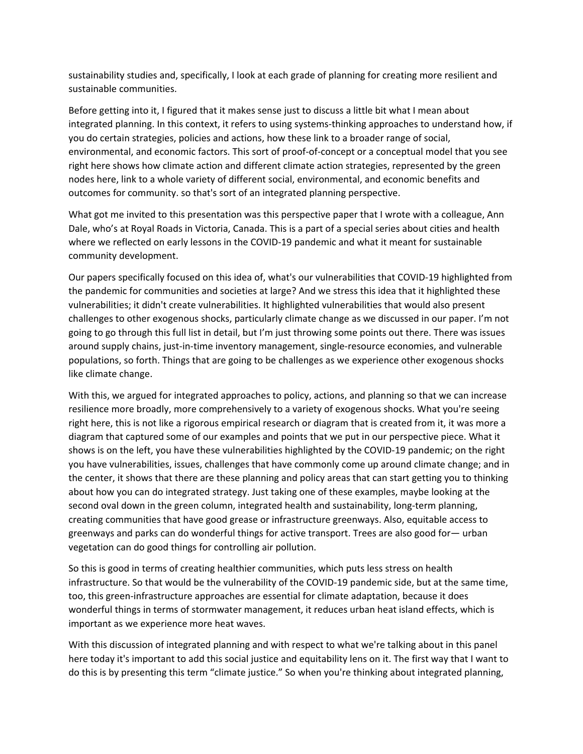sustainability studies and, specifically, I look at each grade of planning for creating more resilient and sustainable communities.

Before getting into it, I figured that it makes sense just to discuss a little bit what I mean about integrated planning. In this context, it refers to using systems-thinking approaches to understand how, if you do certain strategies, policies and actions, how these link to a broader range of social, environmental, and economic factors. This sort of proof‐of‐concept or a conceptual model that you see right here shows how climate action and different climate action strategies, represented by the green nodes here, link to a whole variety of different social, environmental, and economic benefits and outcomes for community. so that's sort of an integrated planning perspective.

What got me invited to this presentation was this perspective paper that I wrote with a colleague, Ann Dale, who's at Royal Roads in Victoria, Canada. This is a part of a special series about cities and health where we reflected on early lessons in the COVID-19 pandemic and what it meant for sustainable community development.

Our papers specifically focused on this idea of, what's our vulnerabilities that COVID‐19 highlighted from the pandemic for communities and societies at large? And we stress this idea that it highlighted these vulnerabilities; it didn't create vulnerabilities. It highlighted vulnerabilities that would also present challenges to other exogenous shocks, particularly climate change as we discussed in our paper. I'm not going to go through this full list in detail, but I'm just throwing some points out there. There was issues around supply chains, just‐in‐time inventory management, single‐resource economies, and vulnerable populations, so forth. Things that are going to be challenges as we experience other exogenous shocks like climate change.

With this, we argued for integrated approaches to policy, actions, and planning so that we can increase resilience more broadly, more comprehensively to a variety of exogenous shocks. What you're seeing right here, this is not like a rigorous empirical research or diagram that is created from it, it was more a diagram that captured some of our examples and points that we put in our perspective piece. What it shows is on the left, you have these vulnerabilities highlighted by the COVID‐19 pandemic; on the right you have vulnerabilities, issues, challenges that have commonly come up around climate change; and in the center, it shows that there are these planning and policy areas that can start getting you to thinking about how you can do integrated strategy. Just taking one of these examples, maybe looking at the second oval down in the green column, integrated health and sustainability, long-term planning, creating communities that have good grease or infrastructure greenways. Also, equitable access to greenways and parks can do wonderful things for active transport. Trees are also good for— urban vegetation can do good things for controlling air pollution.

So this is good in terms of creating healthier communities, which puts less stress on health infrastructure. So that would be the vulnerability of the COVID‐19 pandemic side, but at the same time, too, this green‐infrastructure approaches are essential for climate adaptation, because it does wonderful things in terms of stormwater management, it reduces urban heat island effects, which is important as we experience more heat waves.

With this discussion of integrated planning and with respect to what we're talking about in this panel here today it's important to add this social justice and equitability lens on it. The first way that I want to do this is by presenting this term "climate justice." So when you're thinking about integrated planning,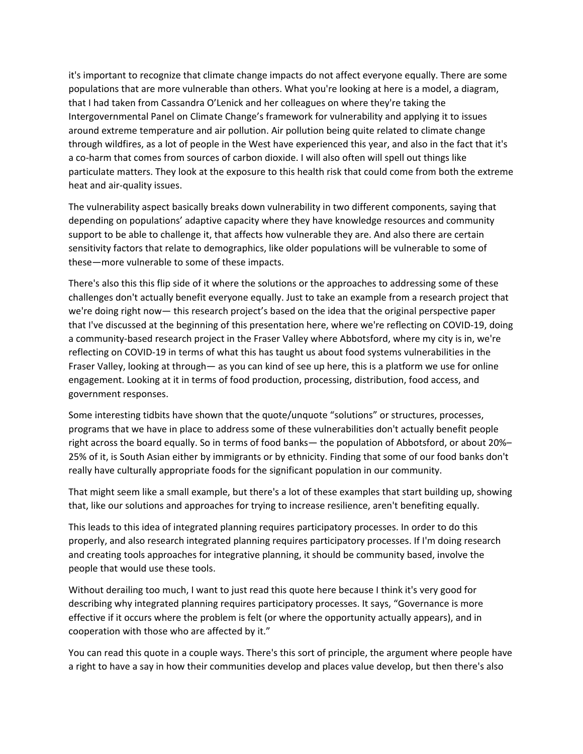it's important to recognize that climate change impacts do not affect everyone equally. There are some populations that are more vulnerable than others. What you're looking at here is a model, a diagram, that I had taken from Cassandra O'Lenick and her colleagues on where they're taking the Intergovernmental Panel on Climate Change's framework for vulnerability and applying it to issues around extreme temperature and air pollution. Air pollution being quite related to climate change through wildfires, as a lot of people in the West have experienced this year, and also in the fact that it's a co-harm that comes from sources of carbon dioxide. I will also often will spell out things like particulate matters. They look at the exposure to this health risk that could come from both the extreme heat and air‐quality issues.

The vulnerability aspect basically breaks down vulnerability in two different components, saying that depending on populations' adaptive capacity where they have knowledge resources and community support to be able to challenge it, that affects how vulnerable they are. And also there are certain sensitivity factors that relate to demographics, like older populations will be vulnerable to some of these—more vulnerable to some of these impacts.

There's also this this flip side of it where the solutions or the approaches to addressing some of these challenges don't actually benefit everyone equally. Just to take an example from a research project that we're doing right now— this research project's based on the idea that the original perspective paper that I've discussed at the beginning of this presentation here, where we're reflecting on COVID‐19, doing a community‐based research project in the Fraser Valley where Abbotsford, where my city is in, we're reflecting on COVID‐19 in terms of what this has taught us about food systems vulnerabilities in the Fraser Valley, looking at through— as you can kind of see up here, this is a platform we use for online engagement. Looking at it in terms of food production, processing, distribution, food access, and government responses.

Some interesting tidbits have shown that the quote/unquote "solutions" or structures, processes, programs that we have in place to address some of these vulnerabilities don't actually benefit people right across the board equally. So in terms of food banks— the population of Abbotsford, or about 20%– 25% of it, is South Asian either by immigrants or by ethnicity. Finding that some of our food banks don't really have culturally appropriate foods for the significant population in our community.

That might seem like a small example, but there's a lot of these examples that start building up, showing that, like our solutions and approaches for trying to increase resilience, aren't benefiting equally.

This leads to this idea of integrated planning requires participatory processes. In order to do this properly, and also research integrated planning requires participatory processes. If I'm doing research and creating tools approaches for integrative planning, it should be community based, involve the people that would use these tools.

Without derailing too much, I want to just read this quote here because I think it's very good for describing why integrated planning requires participatory processes. It says, "Governance is more effective if it occurs where the problem is felt (or where the opportunity actually appears), and in cooperation with those who are affected by it."

You can read this quote in a couple ways. There's this sort of principle, the argument where people have a right to have a say in how their communities develop and places value develop, but then there's also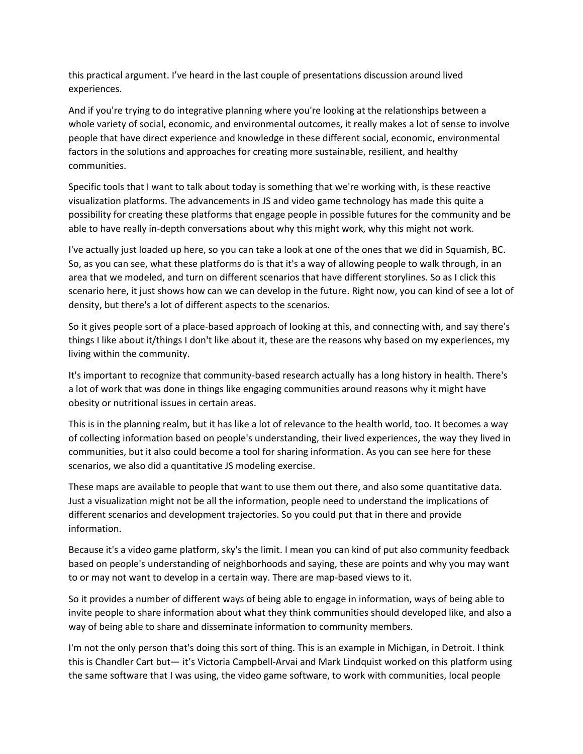this practical argument. I've heard in the last couple of presentations discussion around lived experiences.

And if you're trying to do integrative planning where you're looking at the relationships between a whole variety of social, economic, and environmental outcomes, it really makes a lot of sense to involve people that have direct experience and knowledge in these different social, economic, environmental factors in the solutions and approaches for creating more sustainable, resilient, and healthy communities.

Specific tools that I want to talk about today is something that we're working with, is these reactive visualization platforms. The advancements in JS and video game technology has made this quite a possibility for creating these platforms that engage people in possible futures for the community and be able to have really in-depth conversations about why this might work, why this might not work.

I've actually just loaded up here, so you can take a look at one of the ones that we did in Squamish, BC. So, as you can see, what these platforms do is that it's a way of allowing people to walk through, in an area that we modeled, and turn on different scenarios that have different storylines. So as I click this scenario here, it just shows how can we can develop in the future. Right now, you can kind of see a lot of density, but there's a lot of different aspects to the scenarios.

So it gives people sort of a place‐based approach of looking at this, and connecting with, and say there's things I like about it/things I don't like about it, these are the reasons why based on my experiences, my living within the community.

It's important to recognize that community‐based research actually has a long history in health. There's a lot of work that was done in things like engaging communities around reasons why it might have obesity or nutritional issues in certain areas.

This is in the planning realm, but it has like a lot of relevance to the health world, too. It becomes a way of collecting information based on people's understanding, their lived experiences, the way they lived in communities, but it also could become a tool for sharing information. As you can see here for these scenarios, we also did a quantitative JS modeling exercise.

These maps are available to people that want to use them out there, and also some quantitative data. Just a visualization might not be all the information, people need to understand the implications of different scenarios and development trajectories. So you could put that in there and provide information.

Because it's a video game platform, sky's the limit. I mean you can kind of put also community feedback based on people's understanding of neighborhoods and saying, these are points and why you may want to or may not want to develop in a certain way. There are map‐based views to it.

So it provides a number of different ways of being able to engage in information, ways of being able to invite people to share information about what they think communities should developed like, and also a way of being able to share and disseminate information to community members.

I'm not the only person that's doing this sort of thing. This is an example in Michigan, in Detroit. I think this is Chandler Cart but— it's Victoria Campbell‐Arvai and Mark Lindquist worked on this platform using the same software that I was using, the video game software, to work with communities, local people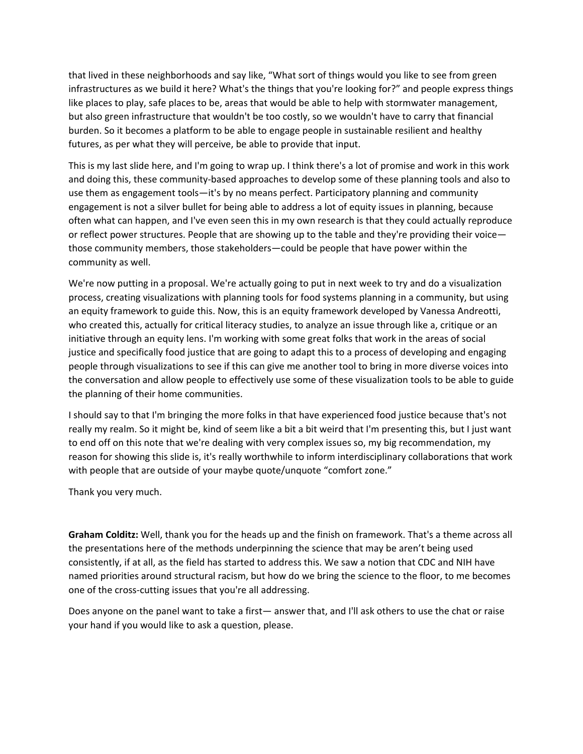that lived in these neighborhoods and say like, "What sort of things would you like to see from green infrastructures as we build it here? What's the things that you're looking for?" and people express things like places to play, safe places to be, areas that would be able to help with stormwater management, but also green infrastructure that wouldn't be too costly, so we wouldn't have to carry that financial burden. So it becomes a platform to be able to engage people in sustainable resilient and healthy futures, as per what they will perceive, be able to provide that input.

This is my last slide here, and I'm going to wrap up. I think there's a lot of promise and work in this work and doing this, these community‐based approaches to develop some of these planning tools and also to use them as engagement tools—it's by no means perfect. Participatory planning and community engagement is not a silver bullet for being able to address a lot of equity issues in planning, because often what can happen, and I've even seen this in my own research is that they could actually reproduce or reflect power structures. People that are showing up to the table and they're providing their voice those community members, those stakeholders—could be people that have power within the community as well.

We're now putting in a proposal. We're actually going to put in next week to try and do a visualization process, creating visualizations with planning tools for food systems planning in a community, but using an equity framework to guide this. Now, this is an equity framework developed by Vanessa Andreotti, who created this, actually for critical literacy studies, to analyze an issue through like a, critique or an initiative through an equity lens. I'm working with some great folks that work in the areas of social justice and specifically food justice that are going to adapt this to a process of developing and engaging people through visualizations to see if this can give me another tool to bring in more diverse voices into the conversation and allow people to effectively use some of these visualization tools to be able to guide the planning of their home communities.

I should say to that I'm bringing the more folks in that have experienced food justice because that's not really my realm. So it might be, kind of seem like a bit a bit weird that I'm presenting this, but I just want to end off on this note that we're dealing with very complex issues so, my big recommendation, my reason for showing this slide is, it's really worthwhile to inform interdisciplinary collaborations that work with people that are outside of your maybe quote/unquote "comfort zone."

Thank you very much.

**Graham Colditz:** Well, thank you for the heads up and the finish on framework. That's a theme across all the presentations here of the methods underpinning the science that may be aren't being used consistently, if at all, as the field has started to address this. We saw a notion that CDC and NIH have named priorities around structural racism, but how do we bring the science to the floor, to me becomes one of the cross‐cutting issues that you're all addressing.

Does anyone on the panel want to take a first— answer that, and I'll ask others to use the chat or raise your hand if you would like to ask a question, please.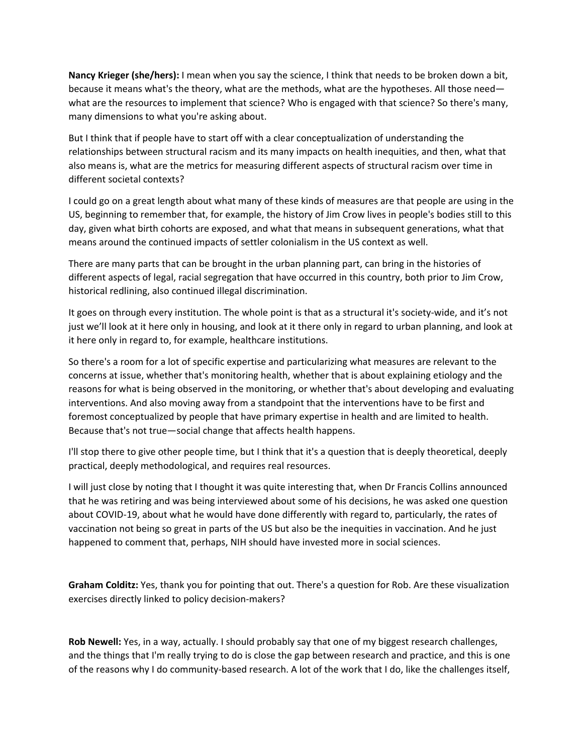**Nancy Krieger (she/hers):** I mean when you say the science, I think that needs to be broken down a bit, because it means what's the theory, what are the methods, what are the hypotheses. All those need what are the resources to implement that science? Who is engaged with that science? So there's many, many dimensions to what you're asking about.

But I think that if people have to start off with a clear conceptualization of understanding the relationships between structural racism and its many impacts on health inequities, and then, what that also means is, what are the metrics for measuring different aspects of structural racism over time in different societal contexts?

I could go on a great length about what many of these kinds of measures are that people are using in the US, beginning to remember that, for example, the history of Jim Crow lives in people's bodies still to this day, given what birth cohorts are exposed, and what that means in subsequent generations, what that means around the continued impacts of settler colonialism in the US context as well.

There are many parts that can be brought in the urban planning part, can bring in the histories of different aspects of legal, racial segregation that have occurred in this country, both prior to Jim Crow, historical redlining, also continued illegal discrimination.

It goes on through every institution. The whole point is that as a structural it's society-wide, and it's not just we'll look at it here only in housing, and look at it there only in regard to urban planning, and look at it here only in regard to, for example, healthcare institutions.

So there's a room for a lot of specific expertise and particularizing what measures are relevant to the concerns at issue, whether that's monitoring health, whether that is about explaining etiology and the reasons for what is being observed in the monitoring, or whether that's about developing and evaluating interventions. And also moving away from a standpoint that the interventions have to be first and foremost conceptualized by people that have primary expertise in health and are limited to health. Because that's not true—social change that affects health happens.

I'll stop there to give other people time, but I think that it's a question that is deeply theoretical, deeply practical, deeply methodological, and requires real resources.

I will just close by noting that I thought it was quite interesting that, when Dr Francis Collins announced that he was retiring and was being interviewed about some of his decisions, he was asked one question about COVID‐19, about what he would have done differently with regard to, particularly, the rates of vaccination not being so great in parts of the US but also be the inequities in vaccination. And he just happened to comment that, perhaps, NIH should have invested more in social sciences.

**Graham Colditz:** Yes, thank you for pointing that out. There's a question for Rob. Are these visualization exercises directly linked to policy decision‐makers?

**Rob Newell:** Yes, in a way, actually. I should probably say that one of my biggest research challenges, and the things that I'm really trying to do is close the gap between research and practice, and this is one of the reasons why I do community-based research. A lot of the work that I do, like the challenges itself,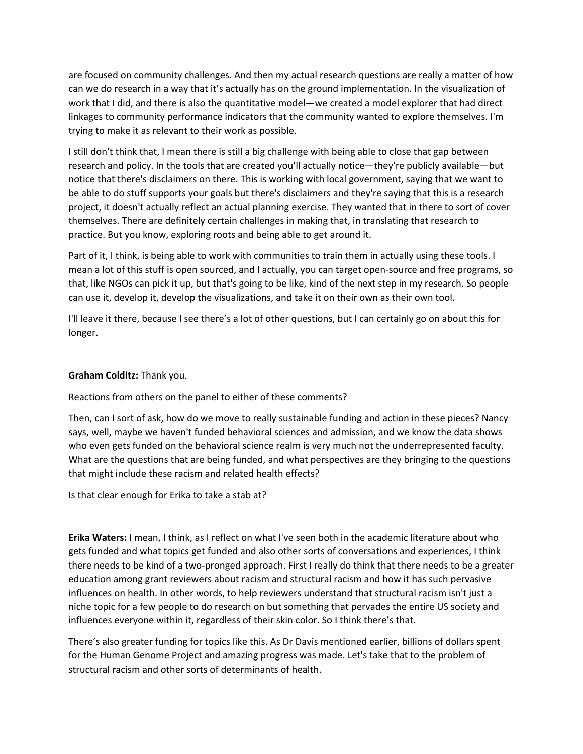are focused on community challenges. And then my actual research questions are really a matter of how can we do research in a way that it's actually has on the ground implementation. In the visualization of work that I did, and there is also the quantitative model—we created a model explorer that had direct linkages to community performance indicators that the community wanted to explore themselves. I'm trying to make it as relevant to their work as possible.

I still don't think that, I mean there is still a big challenge with being able to close that gap between research and policy. In the tools that are created you'll actually notice—they're publicly available—but notice that there's disclaimers on there. This is working with local government, saying that we want to be able to do stuff supports your goals but there's disclaimers and they're saying that this is a research project, it doesn't actually reflect an actual planning exercise. They wanted that in there to sort of cover themselves. There are definitely certain challenges in making that, in translating that research to practice. But you know, exploring roots and being able to get around it.

Part of it, I think, is being able to work with communities to train them in actually using these tools. I mean a lot of this stuff is open sourced, and I actually, you can target open‐source and free programs, so that, like NGOs can pick it up, but that's going to be like, kind of the next step in my research. So people can use it, develop it, develop the visualizations, and take it on their own as their own tool.

I'll leave it there, because I see there's a lot of other questions, but I can certainly go on about this for longer.

## **Graham Colditz:** Thank you.

Reactions from others on the panel to either of these comments?

Then, can I sort of ask, how do we move to really sustainable funding and action in these pieces? Nancy says, well, maybe we haven't funded behavioral sciences and admission, and we know the data shows who even gets funded on the behavioral science realm is very much not the underrepresented faculty. What are the questions that are being funded, and what perspectives are they bringing to the questions that might include these racism and related health effects?

Is that clear enough for Erika to take a stab at?

**Erika Waters:** I mean, I think, as I reflect on what I've seen both in the academic literature about who gets funded and what topics get funded and also other sorts of conversations and experiences, I think there needs to be kind of a two‐pronged approach. First I really do think that there needs to be a greater education among grant reviewers about racism and structural racism and how it has such pervasive influences on health. In other words, to help reviewers understand that structural racism isn't just a niche topic for a few people to do research on but something that pervades the entire US society and influences everyone within it, regardless of their skin color. So I think there's that.

There's also greater funding for topics like this. As Dr Davis mentioned earlier, billions of dollars spent for the Human Genome Project and amazing progress was made. Let's take that to the problem of structural racism and other sorts of determinants of health.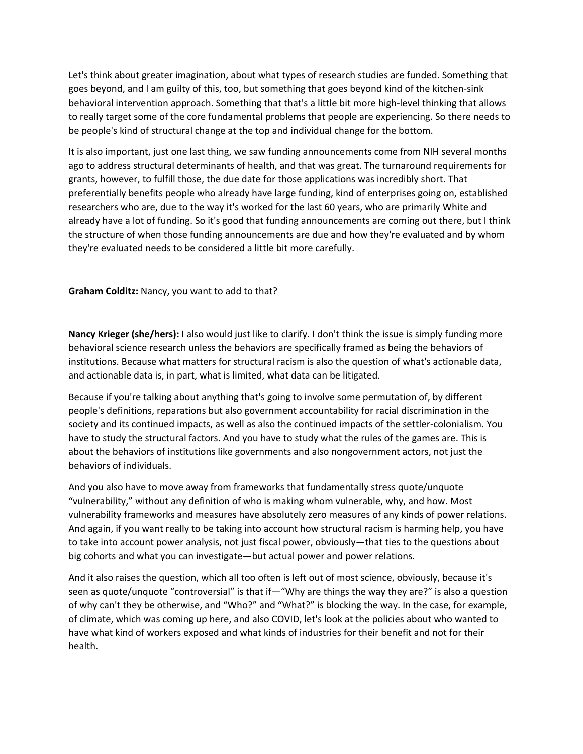Let's think about greater imagination, about what types of research studies are funded. Something that goes beyond, and I am guilty of this, too, but something that goes beyond kind of the kitchen‐sink behavioral intervention approach. Something that that's a little bit more high‐level thinking that allows to really target some of the core fundamental problems that people are experiencing. So there needs to be people's kind of structural change at the top and individual change for the bottom.

It is also important, just one last thing, we saw funding announcements come from NIH several months ago to address structural determinants of health, and that was great. The turnaround requirements for grants, however, to fulfill those, the due date for those applications was incredibly short. That preferentially benefits people who already have large funding, kind of enterprises going on, established researchers who are, due to the way it's worked for the last 60 years, who are primarily White and already have a lot of funding. So it's good that funding announcements are coming out there, but I think the structure of when those funding announcements are due and how they're evaluated and by whom they're evaluated needs to be considered a little bit more carefully.

## **Graham Colditz:** Nancy, you want to add to that?

**Nancy Krieger (she/hers):** I also would just like to clarify. I don't think the issue is simply funding more behavioral science research unless the behaviors are specifically framed as being the behaviors of institutions. Because what matters for structural racism is also the question of what's actionable data, and actionable data is, in part, what is limited, what data can be litigated.

Because if you're talking about anything that's going to involve some permutation of, by different people's definitions, reparations but also government accountability for racial discrimination in the society and its continued impacts, as well as also the continued impacts of the settler‐colonialism. You have to study the structural factors. And you have to study what the rules of the games are. This is about the behaviors of institutions like governments and also nongovernment actors, not just the behaviors of individuals.

And you also have to move away from frameworks that fundamentally stress quote/unquote "vulnerability," without any definition of who is making whom vulnerable, why, and how. Most vulnerability frameworks and measures have absolutely zero measures of any kinds of power relations. And again, if you want really to be taking into account how structural racism is harming help, you have to take into account power analysis, not just fiscal power, obviously—that ties to the questions about big cohorts and what you can investigate—but actual power and power relations.

And it also raises the question, which all too often is left out of most science, obviously, because it's seen as quote/unquote "controversial" is that if—"Why are things the way they are?" is also a question of why can't they be otherwise, and "Who?" and "What?" is blocking the way. In the case, for example, of climate, which was coming up here, and also COVID, let's look at the policies about who wanted to have what kind of workers exposed and what kinds of industries for their benefit and not for their health.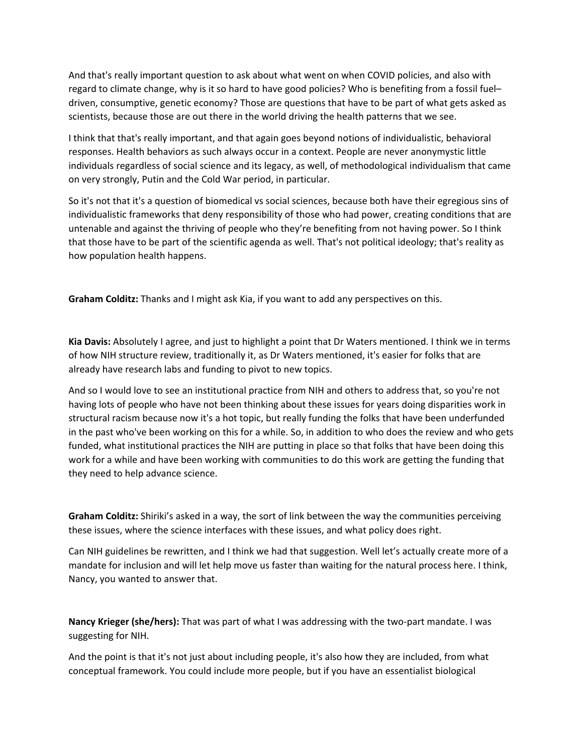And that's really important question to ask about what went on when COVID policies, and also with regard to climate change, why is it so hard to have good policies? Who is benefiting from a fossil fuel– driven, consumptive, genetic economy? Those are questions that have to be part of what gets asked as scientists, because those are out there in the world driving the health patterns that we see.

I think that that's really important, and that again goes beyond notions of individualistic, behavioral responses. Health behaviors as such always occur in a context. People are never anonymystic little individuals regardless of social science and its legacy, as well, of methodological individualism that came on very strongly, Putin and the Cold War period, in particular.

So it's not that it's a question of biomedical vs social sciences, because both have their egregious sins of individualistic frameworks that deny responsibility of those who had power, creating conditions that are untenable and against the thriving of people who they're benefiting from not having power. So I think that those have to be part of the scientific agenda as well. That's not political ideology; that's reality as how population health happens.

**Graham Colditz:** Thanks and I might ask Kia, if you want to add any perspectives on this.

**Kia Davis:** Absolutely I agree, and just to highlight a point that Dr Waters mentioned. I think we in terms of how NIH structure review, traditionally it, as Dr Waters mentioned, it's easier for folks that are already have research labs and funding to pivot to new topics.

And so I would love to see an institutional practice from NIH and others to address that, so you're not having lots of people who have not been thinking about these issues for years doing disparities work in structural racism because now it's a hot topic, but really funding the folks that have been underfunded in the past who've been working on this for a while. So, in addition to who does the review and who gets funded, what institutional practices the NIH are putting in place so that folks that have been doing this work for a while and have been working with communities to do this work are getting the funding that they need to help advance science.

**Graham Colditz:** Shiriki's asked in a way, the sort of link between the way the communities perceiving these issues, where the science interfaces with these issues, and what policy does right.

Can NIH guidelines be rewritten, and I think we had that suggestion. Well let's actually create more of a mandate for inclusion and will let help move us faster than waiting for the natural process here. I think, Nancy, you wanted to answer that.

**Nancy Krieger (she/hers):** That was part of what I was addressing with the two‐part mandate. I was suggesting for NIH.

And the point is that it's not just about including people, it's also how they are included, from what conceptual framework. You could include more people, but if you have an essentialist biological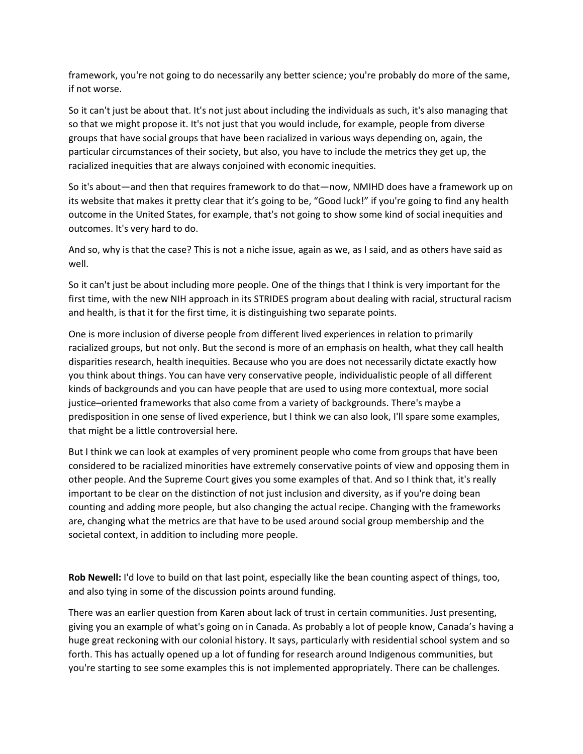framework, you're not going to do necessarily any better science; you're probably do more of the same, if not worse.

So it can't just be about that. It's not just about including the individuals as such, it's also managing that so that we might propose it. It's not just that you would include, for example, people from diverse groups that have social groups that have been racialized in various ways depending on, again, the particular circumstances of their society, but also, you have to include the metrics they get up, the racialized inequities that are always conjoined with economic inequities.

So it's about—and then that requires framework to do that—now, NMIHD does have a framework up on its website that makes it pretty clear that it's going to be, "Good luck!" if you're going to find any health outcome in the United States, for example, that's not going to show some kind of social inequities and outcomes. It's very hard to do.

And so, why is that the case? This is not a niche issue, again as we, as I said, and as others have said as well.

So it can't just be about including more people. One of the things that I think is very important for the first time, with the new NIH approach in its STRIDES program about dealing with racial, structural racism and health, is that it for the first time, it is distinguishing two separate points.

One is more inclusion of diverse people from different lived experiences in relation to primarily racialized groups, but not only. But the second is more of an emphasis on health, what they call health disparities research, health inequities. Because who you are does not necessarily dictate exactly how you think about things. You can have very conservative people, individualistic people of all different kinds of backgrounds and you can have people that are used to using more contextual, more social justice–oriented frameworks that also come from a variety of backgrounds. There's maybe a predisposition in one sense of lived experience, but I think we can also look, I'll spare some examples, that might be a little controversial here.

But I think we can look at examples of very prominent people who come from groups that have been considered to be racialized minorities have extremely conservative points of view and opposing them in other people. And the Supreme Court gives you some examples of that. And so I think that, it's really important to be clear on the distinction of not just inclusion and diversity, as if you're doing bean counting and adding more people, but also changing the actual recipe. Changing with the frameworks are, changing what the metrics are that have to be used around social group membership and the societal context, in addition to including more people.

**Rob Newell:** I'd love to build on that last point, especially like the bean counting aspect of things, too, and also tying in some of the discussion points around funding.

There was an earlier question from Karen about lack of trust in certain communities. Just presenting, giving you an example of what's going on in Canada. As probably a lot of people know, Canada's having a huge great reckoning with our colonial history. It says, particularly with residential school system and so forth. This has actually opened up a lot of funding for research around Indigenous communities, but you're starting to see some examples this is not implemented appropriately. There can be challenges.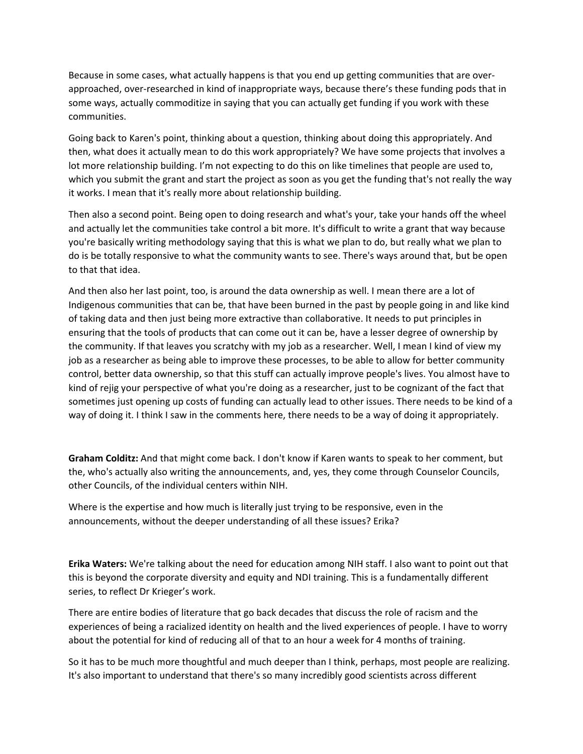Because in some cases, what actually happens is that you end up getting communities that are over‐ approached, over-researched in kind of inappropriate ways, because there's these funding pods that in some ways, actually commoditize in saying that you can actually get funding if you work with these communities.

Going back to Karen's point, thinking about a question, thinking about doing this appropriately. And then, what does it actually mean to do this work appropriately? We have some projects that involves a lot more relationship building. I'm not expecting to do this on like timelines that people are used to, which you submit the grant and start the project as soon as you get the funding that's not really the way it works. I mean that it's really more about relationship building.

Then also a second point. Being open to doing research and what's your, take your hands off the wheel and actually let the communities take control a bit more. It's difficult to write a grant that way because you're basically writing methodology saying that this is what we plan to do, but really what we plan to do is be totally responsive to what the community wants to see. There's ways around that, but be open to that that idea.

And then also her last point, too, is around the data ownership as well. I mean there are a lot of Indigenous communities that can be, that have been burned in the past by people going in and like kind of taking data and then just being more extractive than collaborative. It needs to put principles in ensuring that the tools of products that can come out it can be, have a lesser degree of ownership by the community. If that leaves you scratchy with my job as a researcher. Well, I mean I kind of view my job as a researcher as being able to improve these processes, to be able to allow for better community control, better data ownership, so that this stuff can actually improve people's lives. You almost have to kind of rejig your perspective of what you're doing as a researcher, just to be cognizant of the fact that sometimes just opening up costs of funding can actually lead to other issues. There needs to be kind of a way of doing it. I think I saw in the comments here, there needs to be a way of doing it appropriately.

**Graham Colditz:** And that might come back. I don't know if Karen wants to speak to her comment, but the, who's actually also writing the announcements, and, yes, they come through Counselor Councils, other Councils, of the individual centers within NIH.

Where is the expertise and how much is literally just trying to be responsive, even in the announcements, without the deeper understanding of all these issues? Erika?

**Erika Waters:** We're talking about the need for education among NIH staff. I also want to point out that this is beyond the corporate diversity and equity and NDI training. This is a fundamentally different series, to reflect Dr Krieger's work.

There are entire bodies of literature that go back decades that discuss the role of racism and the experiences of being a racialized identity on health and the lived experiences of people. I have to worry about the potential for kind of reducing all of that to an hour a week for 4 months of training.

So it has to be much more thoughtful and much deeper than I think, perhaps, most people are realizing. It's also important to understand that there's so many incredibly good scientists across different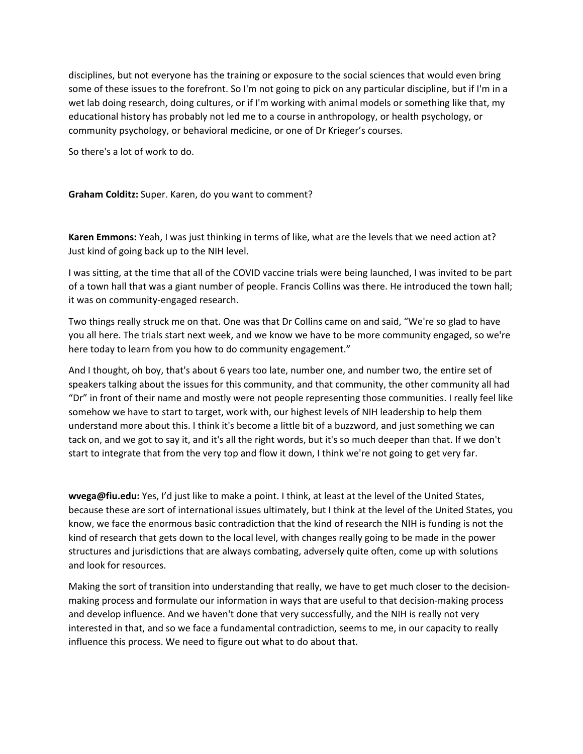disciplines, but not everyone has the training or exposure to the social sciences that would even bring some of these issues to the forefront. So I'm not going to pick on any particular discipline, but if I'm in a wet lab doing research, doing cultures, or if I'm working with animal models or something like that, my educational history has probably not led me to a course in anthropology, or health psychology, or community psychology, or behavioral medicine, or one of Dr Krieger's courses.

So there's a lot of work to do.

**Graham Colditz:** Super. Karen, do you want to comment?

**Karen Emmons:** Yeah, I was just thinking in terms of like, what are the levels that we need action at? Just kind of going back up to the NIH level.

I was sitting, at the time that all of the COVID vaccine trials were being launched, I was invited to be part of a town hall that was a giant number of people. Francis Collins was there. He introduced the town hall; it was on community‐engaged research.

Two things really struck me on that. One was that Dr Collins came on and said, "We're so glad to have you all here. The trials start next week, and we know we have to be more community engaged, so we're here today to learn from you how to do community engagement."

And I thought, oh boy, that's about 6 years too late, number one, and number two, the entire set of speakers talking about the issues for this community, and that community, the other community all had "Dr" in front of their name and mostly were not people representing those communities. I really feel like somehow we have to start to target, work with, our highest levels of NIH leadership to help them understand more about this. I think it's become a little bit of a buzzword, and just something we can tack on, and we got to say it, and it's all the right words, but it's so much deeper than that. If we don't start to integrate that from the very top and flow it down, I think we're not going to get very far.

**wvega@fiu.edu:** Yes, I'd just like to make a point. I think, at least at the level of the United States, because these are sort of international issues ultimately, but I think at the level of the United States, you know, we face the enormous basic contradiction that the kind of research the NIH is funding is not the kind of research that gets down to the local level, with changes really going to be made in the power structures and jurisdictions that are always combating, adversely quite often, come up with solutions and look for resources.

Making the sort of transition into understanding that really, we have to get much closer to the decision‐ making process and formulate our information in ways that are useful to that decision‐making process and develop influence. And we haven't done that very successfully, and the NIH is really not very interested in that, and so we face a fundamental contradiction, seems to me, in our capacity to really influence this process. We need to figure out what to do about that.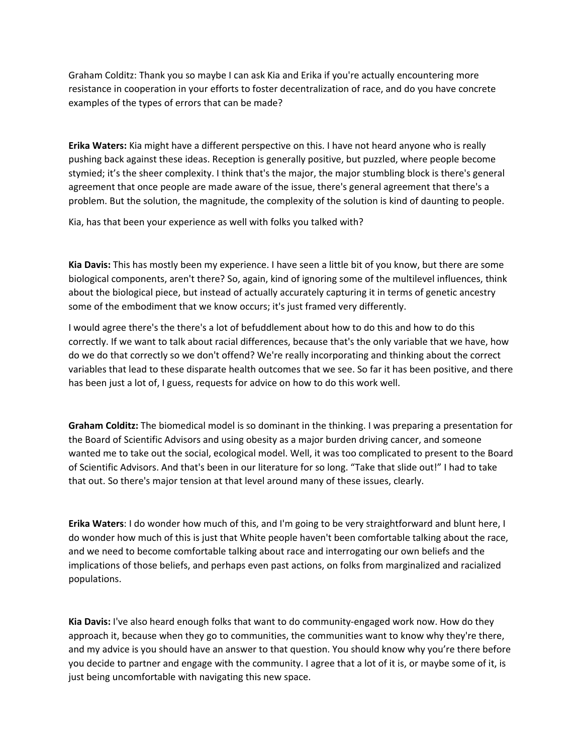Graham Colditz: Thank you so maybe I can ask Kia and Erika if you're actually encountering more resistance in cooperation in your efforts to foster decentralization of race, and do you have concrete examples of the types of errors that can be made?

**Erika Waters:** Kia might have a different perspective on this. I have not heard anyone who is really pushing back against these ideas. Reception is generally positive, but puzzled, where people become stymied; it's the sheer complexity. I think that's the major, the major stumbling block is there's general agreement that once people are made aware of the issue, there's general agreement that there's a problem. But the solution, the magnitude, the complexity of the solution is kind of daunting to people.

Kia, has that been your experience as well with folks you talked with?

**Kia Davis:** This has mostly been my experience. I have seen a little bit of you know, but there are some biological components, aren't there? So, again, kind of ignoring some of the multilevel influences, think about the biological piece, but instead of actually accurately capturing it in terms of genetic ancestry some of the embodiment that we know occurs; it's just framed very differently.

I would agree there's the there's a lot of befuddlement about how to do this and how to do this correctly. If we want to talk about racial differences, because that's the only variable that we have, how do we do that correctly so we don't offend? We're really incorporating and thinking about the correct variables that lead to these disparate health outcomes that we see. So far it has been positive, and there has been just a lot of, I guess, requests for advice on how to do this work well.

**Graham Colditz:** The biomedical model is so dominant in the thinking. I was preparing a presentation for the Board of Scientific Advisors and using obesity as a major burden driving cancer, and someone wanted me to take out the social, ecological model. Well, it was too complicated to present to the Board of Scientific Advisors. And that's been in our literature for so long. "Take that slide out!" I had to take that out. So there's major tension at that level around many of these issues, clearly.

**Erika Waters**: I do wonder how much of this, and I'm going to be very straightforward and blunt here, I do wonder how much of this is just that White people haven't been comfortable talking about the race, and we need to become comfortable talking about race and interrogating our own beliefs and the implications of those beliefs, and perhaps even past actions, on folks from marginalized and racialized populations.

**Kia Davis:** I've also heard enough folks that want to do community‐engaged work now. How do they approach it, because when they go to communities, the communities want to know why they're there, and my advice is you should have an answer to that question. You should know why you're there before you decide to partner and engage with the community. I agree that a lot of it is, or maybe some of it, is just being uncomfortable with navigating this new space.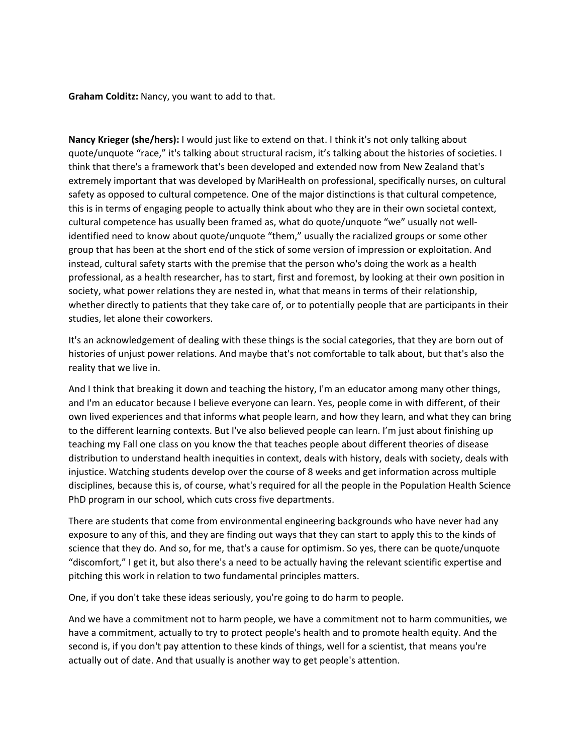**Graham Colditz:** Nancy, you want to add to that.

**Nancy Krieger (she/hers):** I would just like to extend on that. I think it's not only talking about quote/unquote "race," it's talking about structural racism, it's talking about the histories of societies. I think that there's a framework that's been developed and extended now from New Zealand that's extremely important that was developed by MariHealth on professional, specifically nurses, on cultural safety as opposed to cultural competence. One of the major distinctions is that cultural competence, this is in terms of engaging people to actually think about who they are in their own societal context, cultural competence has usually been framed as, what do quote/unquote "we" usually not well‐ identified need to know about quote/unquote "them," usually the racialized groups or some other group that has been at the short end of the stick of some version of impression or exploitation. And instead, cultural safety starts with the premise that the person who's doing the work as a health professional, as a health researcher, has to start, first and foremost, by looking at their own position in society, what power relations they are nested in, what that means in terms of their relationship, whether directly to patients that they take care of, or to potentially people that are participants in their studies, let alone their coworkers.

It's an acknowledgement of dealing with these things is the social categories, that they are born out of histories of unjust power relations. And maybe that's not comfortable to talk about, but that's also the reality that we live in.

And I think that breaking it down and teaching the history, I'm an educator among many other things, and I'm an educator because I believe everyone can learn. Yes, people come in with different, of their own lived experiences and that informs what people learn, and how they learn, and what they can bring to the different learning contexts. But I've also believed people can learn. I'm just about finishing up teaching my Fall one class on you know the that teaches people about different theories of disease distribution to understand health inequities in context, deals with history, deals with society, deals with injustice. Watching students develop over the course of 8 weeks and get information across multiple disciplines, because this is, of course, what's required for all the people in the Population Health Science PhD program in our school, which cuts cross five departments.

There are students that come from environmental engineering backgrounds who have never had any exposure to any of this, and they are finding out ways that they can start to apply this to the kinds of science that they do. And so, for me, that's a cause for optimism. So yes, there can be quote/unquote "discomfort," I get it, but also there's a need to be actually having the relevant scientific expertise and pitching this work in relation to two fundamental principles matters.

One, if you don't take these ideas seriously, you're going to do harm to people.

And we have a commitment not to harm people, we have a commitment not to harm communities, we have a commitment, actually to try to protect people's health and to promote health equity. And the second is, if you don't pay attention to these kinds of things, well for a scientist, that means you're actually out of date. And that usually is another way to get people's attention.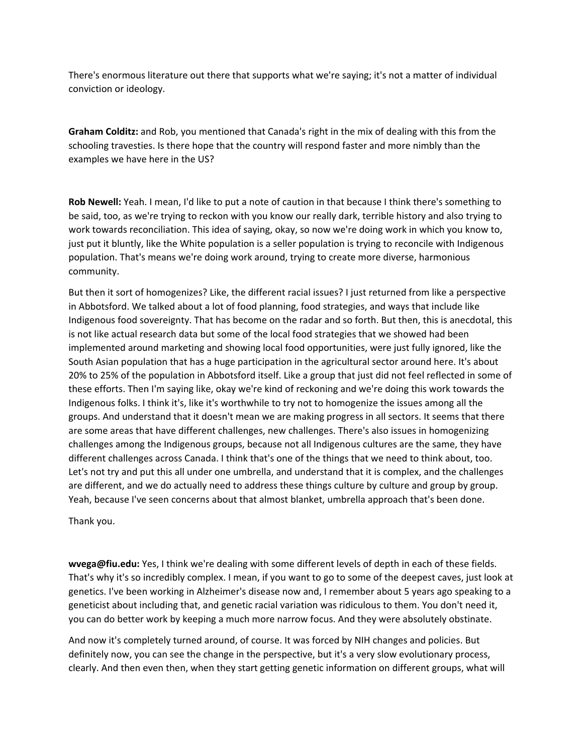There's enormous literature out there that supports what we're saying; it's not a matter of individual conviction or ideology.

**Graham Colditz:** and Rob, you mentioned that Canada's right in the mix of dealing with this from the schooling travesties. Is there hope that the country will respond faster and more nimbly than the examples we have here in the US?

**Rob Newell:** Yeah. I mean, I'd like to put a note of caution in that because I think there's something to be said, too, as we're trying to reckon with you know our really dark, terrible history and also trying to work towards reconciliation. This idea of saying, okay, so now we're doing work in which you know to, just put it bluntly, like the White population is a seller population is trying to reconcile with Indigenous population. That's means we're doing work around, trying to create more diverse, harmonious community.

But then it sort of homogenizes? Like, the different racial issues? I just returned from like a perspective in Abbotsford. We talked about a lot of food planning, food strategies, and ways that include like Indigenous food sovereignty. That has become on the radar and so forth. But then, this is anecdotal, this is not like actual research data but some of the local food strategies that we showed had been implemented around marketing and showing local food opportunities, were just fully ignored, like the South Asian population that has a huge participation in the agricultural sector around here. It's about 20% to 25% of the population in Abbotsford itself. Like a group that just did not feel reflected in some of these efforts. Then I'm saying like, okay we're kind of reckoning and we're doing this work towards the Indigenous folks. I think it's, like it's worthwhile to try not to homogenize the issues among all the groups. And understand that it doesn't mean we are making progress in all sectors. It seems that there are some areas that have different challenges, new challenges. There's also issues in homogenizing challenges among the Indigenous groups, because not all Indigenous cultures are the same, they have different challenges across Canada. I think that's one of the things that we need to think about, too. Let's not try and put this all under one umbrella, and understand that it is complex, and the challenges are different, and we do actually need to address these things culture by culture and group by group. Yeah, because I've seen concerns about that almost blanket, umbrella approach that's been done.

Thank you.

**wvega@fiu.edu:** Yes, I think we're dealing with some different levels of depth in each of these fields. That's why it's so incredibly complex. I mean, if you want to go to some of the deepest caves, just look at genetics. I've been working in Alzheimer's disease now and, I remember about 5 years ago speaking to a geneticist about including that, and genetic racial variation was ridiculous to them. You don't need it, you can do better work by keeping a much more narrow focus. And they were absolutely obstinate.

And now it's completely turned around, of course. It was forced by NIH changes and policies. But definitely now, you can see the change in the perspective, but it's a very slow evolutionary process, clearly. And then even then, when they start getting genetic information on different groups, what will